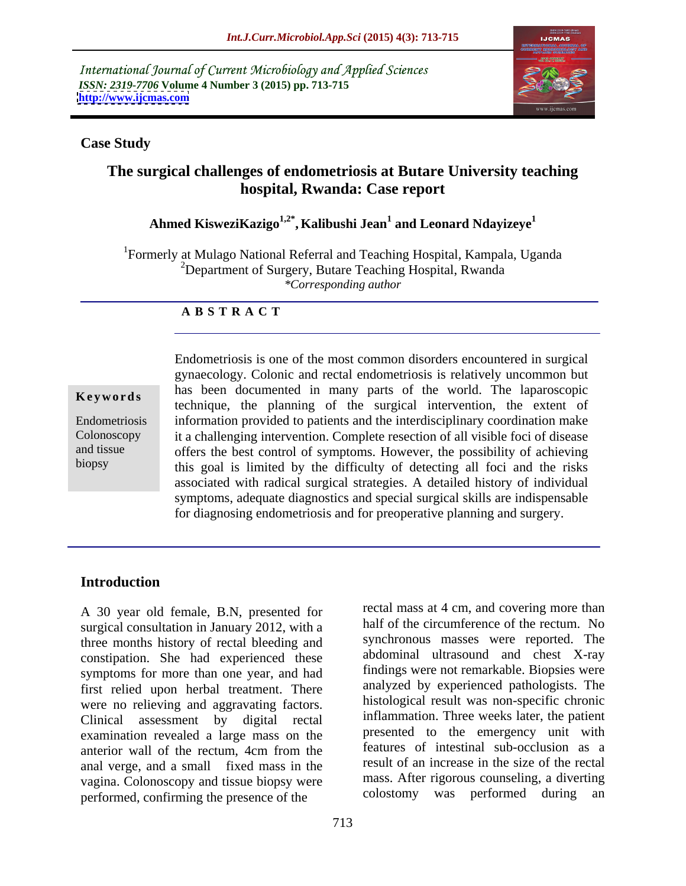International Journal of Current Microbiology and Applied Sciences *ISSN: 2319-7706* **Volume 4 Number 3 (2015) pp. 713-715 <http://www.ijcmas.com>**



### **Case Study**

# **The surgical challenges of endometriosis at Butare University teaching hospital, Rwanda: Case report**

# **Ahmed KisweziKazigo1,2\* , Kalibushi Jean<sup>1</sup> and Leonard Ndayizeye<sup>1</sup>**

<sup>1</sup>Formerly at Mulago National Referral and Teaching Hospital, Kampala, Uganda <sup>2</sup>Department of Surgery, Butare Teaching Hospital, Rwanda *\*Corresponding author*

### **A B S T R A C T**

biopsy

Endometriosis is one of the most common disorders encountered in surgical gynaecology. Colonic and rectal endometriosis is relatively uncommon but has been documented in many parts of the world. The laparoscopic technique, the planning of the surgical intervention, the extent of information provided to patients and the interdisciplinary coordination make Endometriosis Colonoscopy it a challenging intervention. Complete resection of all visible foci of disease and tissue offers the best control of symptoms. However, the possibility of achieving this goal is limited by the difficulty of detecting all foci and the risks associated with radical surgical strategies. A detailed history of individual symptoms, adequate diagnostics and special surgical skills are indispensable **Keywords**<br>
technique, the planning of the surgical intervention, the extent of<br>
information provided to patients and the interdisciplinary coordination make<br>
Colonoscopy<br>
it a challenging intervention. Complete resection

## **Introduction**

A 30 year old female, B.N, presented for surgical consultation in January 2012, with a three months history of rectal bleeding and constipation. She had experienced these symptoms for more than one year, and had first relied upon herbal treatment. There were no relieving and aggravating factors. Clinical assessment by digital rectal examination revealed a large mass on the anterior wall of the rectum, 4cm from the anal verge, and a small fixed mass in the vagina. Colonoscopy and tissue biopsy were mass. After rigorous counseling, a diverting<br>
nerformed confirming the presence of the colostomy was performed during an performed, confirming the presence of the

rectal mass at 4 cm, and covering more than half of the circumference of the rectum. No synchronous masses were reported. The abdominal ultrasound and chest X-ray findings were not remarkable. Biopsies were analyzed by experienced pathologists. The histological result was non-specific chronic inflammation. Three weeks later, the patient presented to the emergency unit with features of intestinal sub-occlusion as a result of an increase in the size of the rectal mass. After rigorous counseling, a diverting colostomy was performed during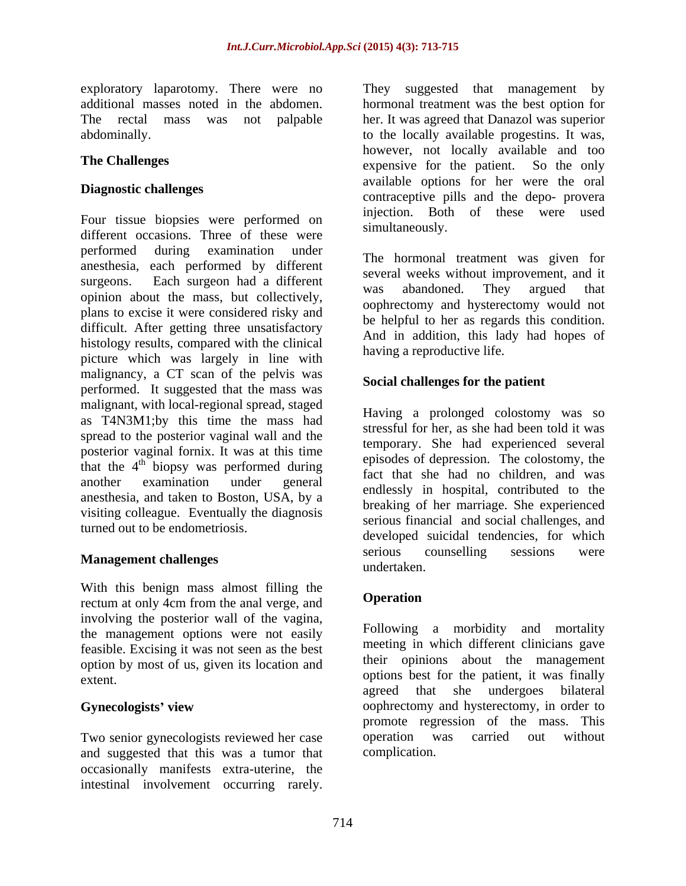exploratory laparotomy. There were no They suggested that management by

Four tissue biopsies were performed on different occasions. Three of these were performed during examination under anesthesia, each performed by different surgeons. Each surgeon had a different weeks while the magnetic had a several weeks while the magnetic had a bandoned. They argued that opinion about the mass, but collectively, plans to excise it were considered risky and difficult. After getting three unsatisfactory histology results, compared with the clinical picture which was largely in line with malignancy, a CT scan of the pelvis was performed. It suggested that the mass was malignant, with local-regional spread, staged as T4N3M1;by this time the mass had spread to the posterior vaginal wall and the posterior vaginal fornix. It was at this time that the  $4^{\text{th}}$  biopsy was performed during episodes of depression. The colosiomy, the another examination under general endlessly in hospital, contributed to the anomation of the endlessly in hospital, contributed to the anesthesia, and taken to Boston, USA, by a visiting colleague. Eventually the diagnosis turned out to be endometriosis. exploration that management by the set of the set of the measurement by the received that management could<br>be the set of the set of the set of the set of the set of the set of the<br>state of the set of the set of the set of

With this benign mass almost filling the<br>rectum at only 4cm from the engl verge and<br>**Operation** rectum at only 4cm from the anal verge, and involving the posterior wall of the vagina, the management options were not easily feasible. Excising it was not seen as the best option by most of us, given its location and

Two senior gynecologists reviewed her case operation was carried out without and suggested that this was a tumor that occasionally manifests extra-uterine, the

additional masses noted in the abdomen. hormonal treatment was the best option for The rectal mass wasnot palpable her. It was agreed that Danazol was superior abdominally. to the locally available progestins. It was, **The Challenges** expensive for the patient. So the only **Diagnostic challenges** available options for the well are order and the depo-<br>contraceptive pills and the depo- provera however, not locally available and too available options for her were the oral injection. Both of these were used simultaneously.

> The hormonal treatment was given for several weeks without improvement, and it was abandoned. They argued that oophrectomy and hysterectomy would not be helpful to her as regards this condition. And in addition, this lady had hopes of having a reproductive life.

# **Social challenges for the patient**

**Management challenges** exercise the extra serious counselling sessions were undertaken. Having a prolonged colostomy was so stressful for her, as she had been told it was temporary. She had experienced several episodes of depression. The colostomy, the fact that she had no children, and was breaking of her marriage. She experienced serious financial and social challenges, and developed suicidal tendencies, for which serious counselling sessions were undertaken.

# **Operation**

extent. options best for the patient, it was finally **Gynecologists' view** oophrectomy and hysterectomy, in order to Following a morbidity and mortality meeting in which different clinicians gave their opinions about the management agreed that she undergoes bilateral promote regression of the mass. This operation was carried out without complication.